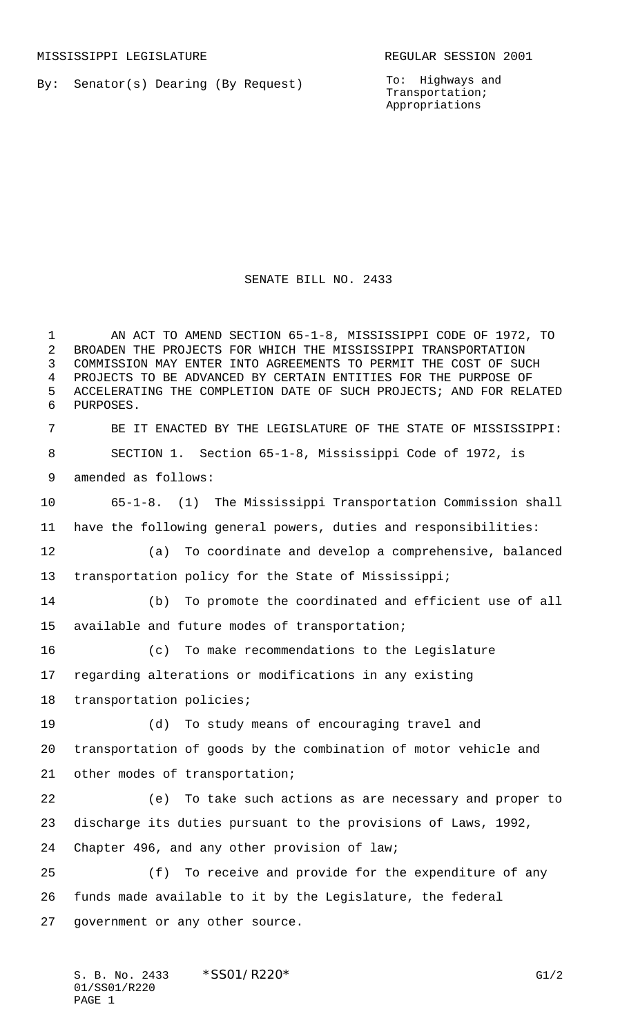By: Senator(s) Dearing (By Request)

To: Highways and Transportation; Appropriations

SENATE BILL NO. 2433

 AN ACT TO AMEND SECTION 65-1-8, MISSISSIPPI CODE OF 1972, TO BROADEN THE PROJECTS FOR WHICH THE MISSISSIPPI TRANSPORTATION COMMISSION MAY ENTER INTO AGREEMENTS TO PERMIT THE COST OF SUCH PROJECTS TO BE ADVANCED BY CERTAIN ENTITIES FOR THE PURPOSE OF ACCELERATING THE COMPLETION DATE OF SUCH PROJECTS; AND FOR RELATED PURPOSES. BE IT ENACTED BY THE LEGISLATURE OF THE STATE OF MISSISSIPPI: SECTION 1. Section 65-1-8, Mississippi Code of 1972, is amended as follows: 65-1-8. (1) The Mississippi Transportation Commission shall have the following general powers, duties and responsibilities: (a) To coordinate and develop a comprehensive, balanced transportation policy for the State of Mississippi; (b) To promote the coordinated and efficient use of all available and future modes of transportation; (c) To make recommendations to the Legislature regarding alterations or modifications in any existing transportation policies; (d) To study means of encouraging travel and transportation of goods by the combination of motor vehicle and other modes of transportation; (e) To take such actions as are necessary and proper to discharge its duties pursuant to the provisions of Laws, 1992, Chapter 496, and any other provision of law; (f) To receive and provide for the expenditure of any funds made available to it by the Legislature, the federal government or any other source.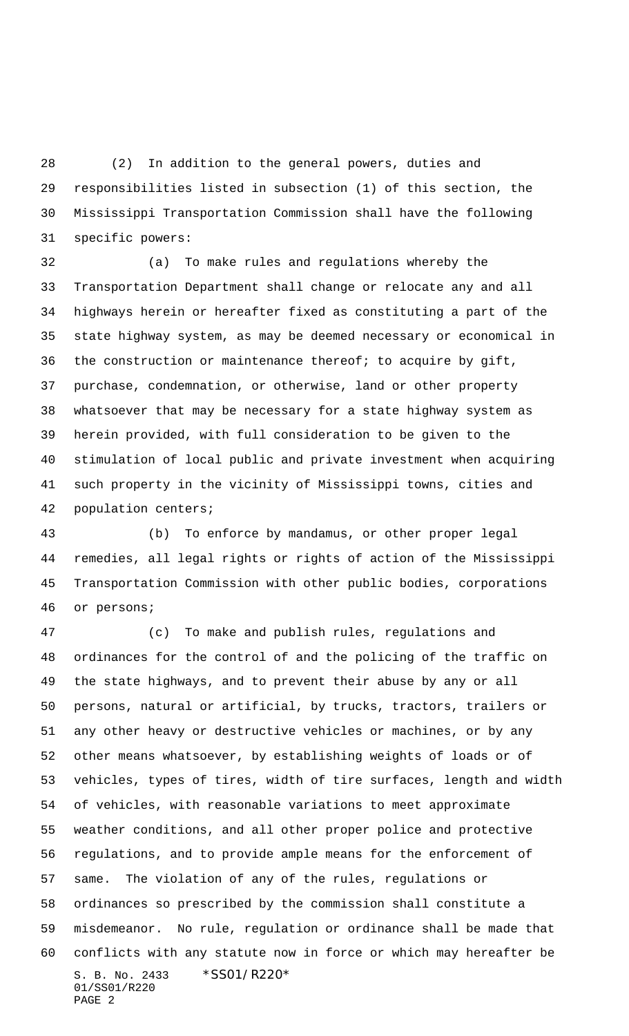(2) In addition to the general powers, duties and responsibilities listed in subsection (1) of this section, the Mississippi Transportation Commission shall have the following specific powers:

 (a) To make rules and regulations whereby the Transportation Department shall change or relocate any and all highways herein or hereafter fixed as constituting a part of the state highway system, as may be deemed necessary or economical in the construction or maintenance thereof; to acquire by gift, purchase, condemnation, or otherwise, land or other property whatsoever that may be necessary for a state highway system as herein provided, with full consideration to be given to the stimulation of local public and private investment when acquiring such property in the vicinity of Mississippi towns, cities and population centers;

 (b) To enforce by mandamus, or other proper legal remedies, all legal rights or rights of action of the Mississippi Transportation Commission with other public bodies, corporations or persons;

S. B. No. 2433 \*SS01/R220\* 01/SS01/R220 PAGE 2 (c) To make and publish rules, regulations and ordinances for the control of and the policing of the traffic on the state highways, and to prevent their abuse by any or all persons, natural or artificial, by trucks, tractors, trailers or any other heavy or destructive vehicles or machines, or by any other means whatsoever, by establishing weights of loads or of vehicles, types of tires, width of tire surfaces, length and width of vehicles, with reasonable variations to meet approximate weather conditions, and all other proper police and protective regulations, and to provide ample means for the enforcement of same. The violation of any of the rules, regulations or ordinances so prescribed by the commission shall constitute a misdemeanor. No rule, regulation or ordinance shall be made that conflicts with any statute now in force or which may hereafter be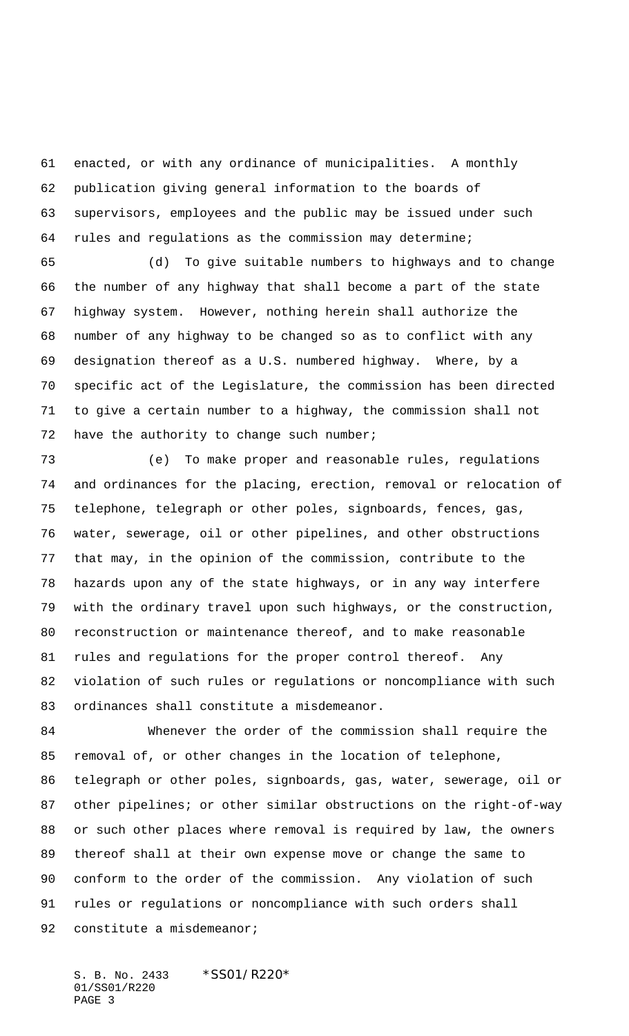enacted, or with any ordinance of municipalities. A monthly publication giving general information to the boards of supervisors, employees and the public may be issued under such rules and regulations as the commission may determine;

 (d) To give suitable numbers to highways and to change the number of any highway that shall become a part of the state highway system. However, nothing herein shall authorize the number of any highway to be changed so as to conflict with any designation thereof as a U.S. numbered highway. Where, by a specific act of the Legislature, the commission has been directed to give a certain number to a highway, the commission shall not 72 have the authority to change such number;

 (e) To make proper and reasonable rules, regulations and ordinances for the placing, erection, removal or relocation of telephone, telegraph or other poles, signboards, fences, gas, water, sewerage, oil or other pipelines, and other obstructions that may, in the opinion of the commission, contribute to the hazards upon any of the state highways, or in any way interfere with the ordinary travel upon such highways, or the construction, reconstruction or maintenance thereof, and to make reasonable rules and regulations for the proper control thereof. Any violation of such rules or regulations or noncompliance with such ordinances shall constitute a misdemeanor.

 Whenever the order of the commission shall require the removal of, or other changes in the location of telephone, telegraph or other poles, signboards, gas, water, sewerage, oil or other pipelines; or other similar obstructions on the right-of-way or such other places where removal is required by law, the owners thereof shall at their own expense move or change the same to conform to the order of the commission. Any violation of such rules or regulations or noncompliance with such orders shall 92 constitute a misdemeanor;

S. B. No. 2433 \*SS01/R220\* 01/SS01/R220 PAGE 3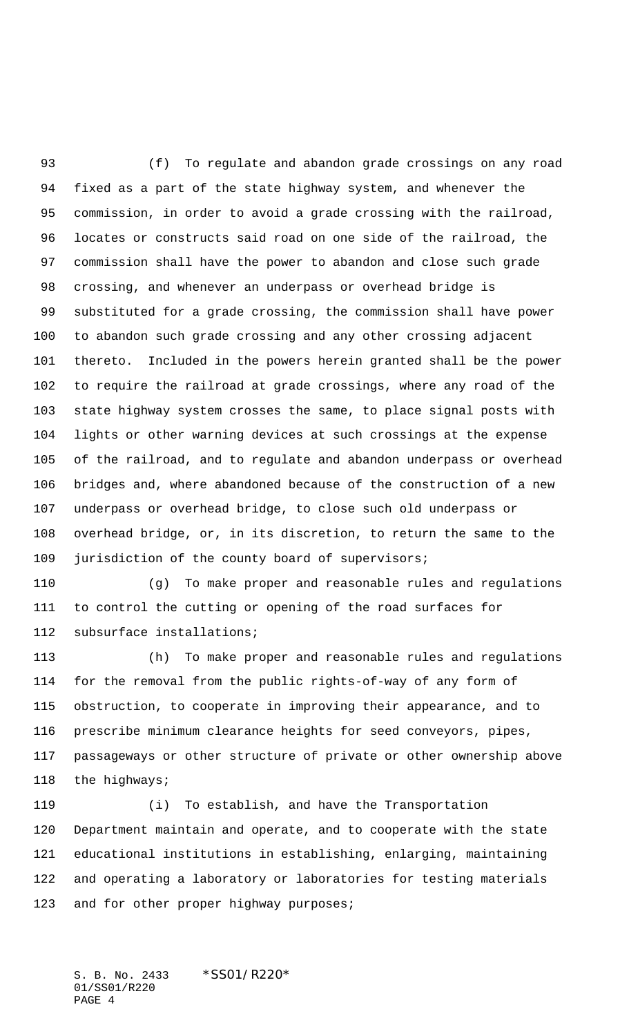(f) To regulate and abandon grade crossings on any road fixed as a part of the state highway system, and whenever the commission, in order to avoid a grade crossing with the railroad, locates or constructs said road on one side of the railroad, the commission shall have the power to abandon and close such grade crossing, and whenever an underpass or overhead bridge is substituted for a grade crossing, the commission shall have power to abandon such grade crossing and any other crossing adjacent thereto. Included in the powers herein granted shall be the power to require the railroad at grade crossings, where any road of the state highway system crosses the same, to place signal posts with lights or other warning devices at such crossings at the expense of the railroad, and to regulate and abandon underpass or overhead bridges and, where abandoned because of the construction of a new underpass or overhead bridge, to close such old underpass or overhead bridge, or, in its discretion, to return the same to the jurisdiction of the county board of supervisors;

 (g) To make proper and reasonable rules and regulations to control the cutting or opening of the road surfaces for subsurface installations;

 (h) To make proper and reasonable rules and regulations for the removal from the public rights-of-way of any form of obstruction, to cooperate in improving their appearance, and to prescribe minimum clearance heights for seed conveyors, pipes, passageways or other structure of private or other ownership above the highways;

 (i) To establish, and have the Transportation Department maintain and operate, and to cooperate with the state educational institutions in establishing, enlarging, maintaining and operating a laboratory or laboratories for testing materials 123 and for other proper highway purposes;

S. B. No. 2433 \*SS01/R220\* 01/SS01/R220 PAGE 4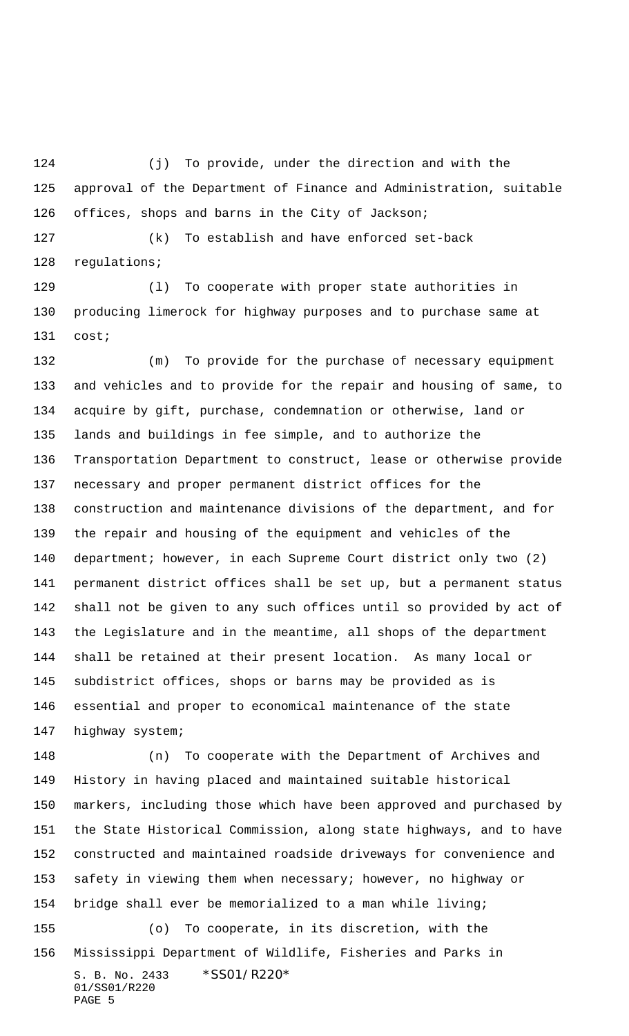(j) To provide, under the direction and with the approval of the Department of Finance and Administration, suitable offices, shops and barns in the City of Jackson;

 (k) To establish and have enforced set-back regulations;

 (l) To cooperate with proper state authorities in producing limerock for highway purposes and to purchase same at cost;

 (m) To provide for the purchase of necessary equipment and vehicles and to provide for the repair and housing of same, to acquire by gift, purchase, condemnation or otherwise, land or lands and buildings in fee simple, and to authorize the Transportation Department to construct, lease or otherwise provide necessary and proper permanent district offices for the construction and maintenance divisions of the department, and for the repair and housing of the equipment and vehicles of the department; however, in each Supreme Court district only two (2) permanent district offices shall be set up, but a permanent status shall not be given to any such offices until so provided by act of the Legislature and in the meantime, all shops of the department shall be retained at their present location. As many local or subdistrict offices, shops or barns may be provided as is essential and proper to economical maintenance of the state highway system;

S. B. No. 2433 \*SS01/R220\* 01/SS01/R220 PAGE 5 (n) To cooperate with the Department of Archives and History in having placed and maintained suitable historical markers, including those which have been approved and purchased by the State Historical Commission, along state highways, and to have constructed and maintained roadside driveways for convenience and safety in viewing them when necessary; however, no highway or bridge shall ever be memorialized to a man while living; (o) To cooperate, in its discretion, with the Mississippi Department of Wildlife, Fisheries and Parks in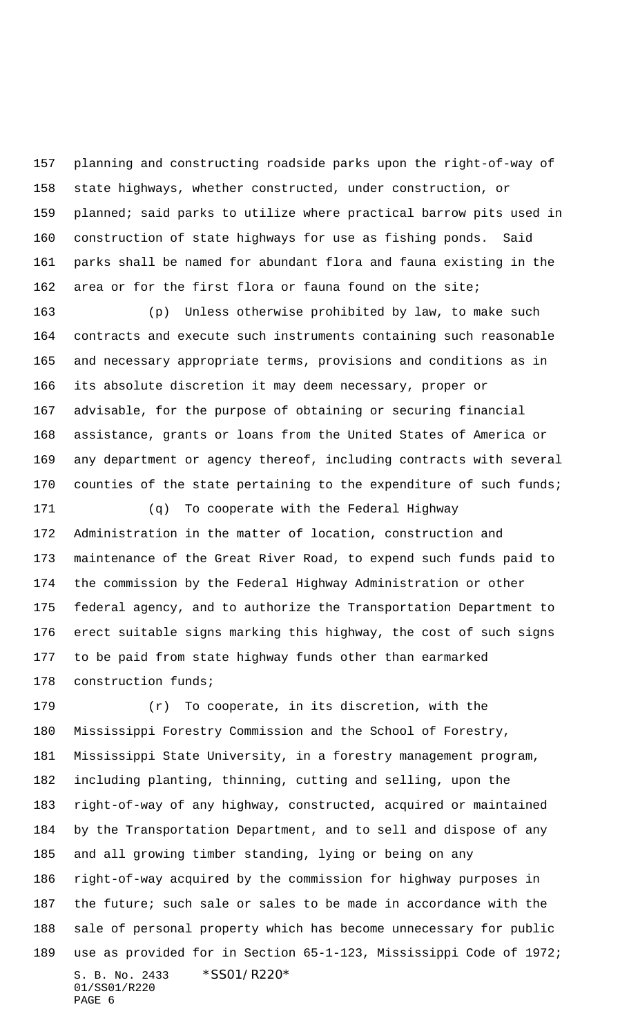planning and constructing roadside parks upon the right-of-way of state highways, whether constructed, under construction, or planned; said parks to utilize where practical barrow pits used in construction of state highways for use as fishing ponds. Said parks shall be named for abundant flora and fauna existing in the area or for the first flora or fauna found on the site;

 (p) Unless otherwise prohibited by law, to make such contracts and execute such instruments containing such reasonable and necessary appropriate terms, provisions and conditions as in its absolute discretion it may deem necessary, proper or advisable, for the purpose of obtaining or securing financial assistance, grants or loans from the United States of America or any department or agency thereof, including contracts with several 170 counties of the state pertaining to the expenditure of such funds;

 (q) To cooperate with the Federal Highway Administration in the matter of location, construction and maintenance of the Great River Road, to expend such funds paid to the commission by the Federal Highway Administration or other federal agency, and to authorize the Transportation Department to erect suitable signs marking this highway, the cost of such signs to be paid from state highway funds other than earmarked construction funds;

S. B. No. 2433 \*SS01/R220\* 01/SS01/R220 PAGE 6 (r) To cooperate, in its discretion, with the Mississippi Forestry Commission and the School of Forestry, Mississippi State University, in a forestry management program, including planting, thinning, cutting and selling, upon the right-of-way of any highway, constructed, acquired or maintained by the Transportation Department, and to sell and dispose of any and all growing timber standing, lying or being on any right-of-way acquired by the commission for highway purposes in the future; such sale or sales to be made in accordance with the sale of personal property which has become unnecessary for public use as provided for in Section 65-1-123, Mississippi Code of 1972;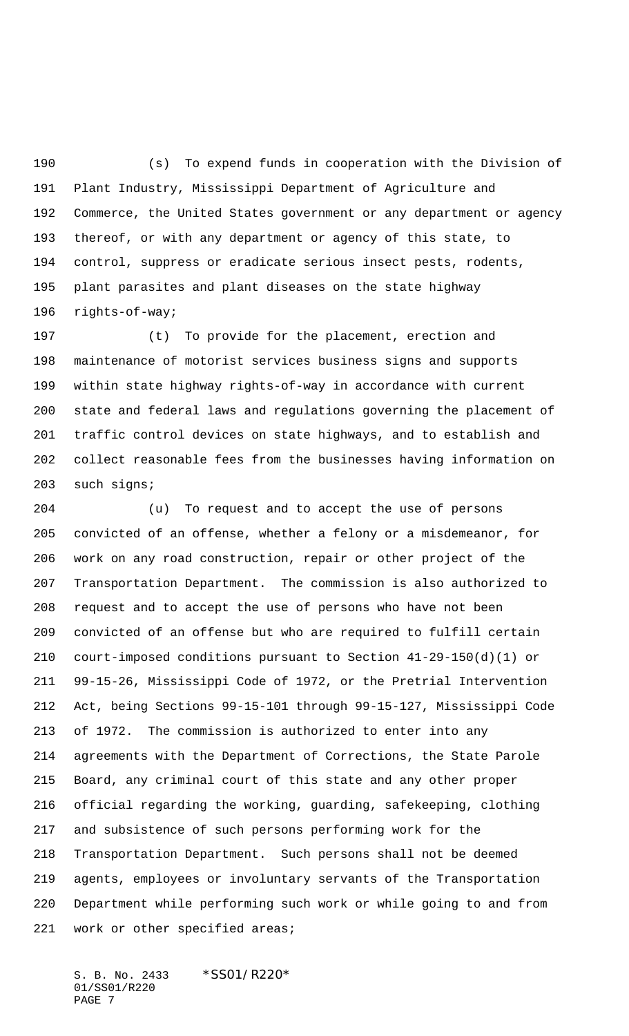(s) To expend funds in cooperation with the Division of Plant Industry, Mississippi Department of Agriculture and Commerce, the United States government or any department or agency thereof, or with any department or agency of this state, to control, suppress or eradicate serious insect pests, rodents, plant parasites and plant diseases on the state highway rights-of-way;

 (t) To provide for the placement, erection and maintenance of motorist services business signs and supports within state highway rights-of-way in accordance with current state and federal laws and regulations governing the placement of traffic control devices on state highways, and to establish and collect reasonable fees from the businesses having information on such signs;

 (u) To request and to accept the use of persons convicted of an offense, whether a felony or a misdemeanor, for work on any road construction, repair or other project of the Transportation Department. The commission is also authorized to request and to accept the use of persons who have not been convicted of an offense but who are required to fulfill certain court-imposed conditions pursuant to Section 41-29-150(d)(1) or 99-15-26, Mississippi Code of 1972, or the Pretrial Intervention Act, being Sections 99-15-101 through 99-15-127, Mississippi Code of 1972. The commission is authorized to enter into any agreements with the Department of Corrections, the State Parole Board, any criminal court of this state and any other proper official regarding the working, guarding, safekeeping, clothing and subsistence of such persons performing work for the Transportation Department. Such persons shall not be deemed agents, employees or involuntary servants of the Transportation Department while performing such work or while going to and from work or other specified areas;

S. B. No. 2433 \*SS01/R220\* 01/SS01/R220 PAGE 7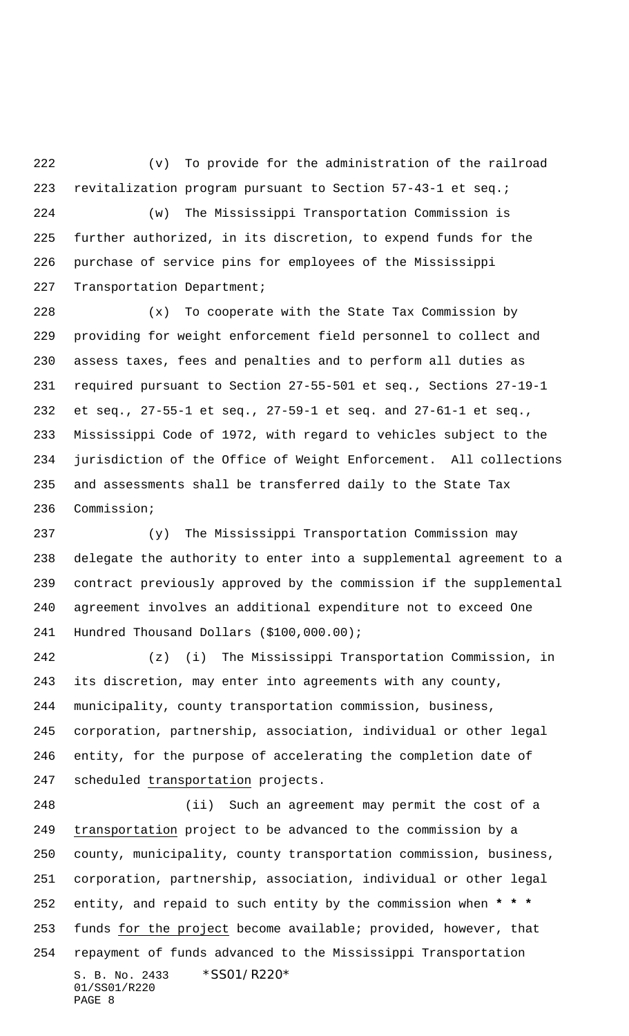(v) To provide for the administration of the railroad revitalization program pursuant to Section 57-43-1 et seq.; (w) The Mississippi Transportation Commission is

 further authorized, in its discretion, to expend funds for the purchase of service pins for employees of the Mississippi Transportation Department;

 (x) To cooperate with the State Tax Commission by providing for weight enforcement field personnel to collect and assess taxes, fees and penalties and to perform all duties as required pursuant to Section 27-55-501 et seq., Sections 27-19-1 et seq., 27-55-1 et seq., 27-59-1 et seq. and 27-61-1 et seq., Mississippi Code of 1972, with regard to vehicles subject to the jurisdiction of the Office of Weight Enforcement. All collections and assessments shall be transferred daily to the State Tax Commission;

 (y) The Mississippi Transportation Commission may delegate the authority to enter into a supplemental agreement to a contract previously approved by the commission if the supplemental agreement involves an additional expenditure not to exceed One Hundred Thousand Dollars (\$100,000.00);

 (z) (i) The Mississippi Transportation Commission, in its discretion, may enter into agreements with any county, municipality, county transportation commission, business, corporation, partnership, association, individual or other legal entity, for the purpose of accelerating the completion date of scheduled transportation projects.

S. B. No. 2433 \*SS01/R220\* 01/SS01/R220 PAGE 8 (ii) Such an agreement may permit the cost of a transportation project to be advanced to the commission by a county, municipality, county transportation commission, business, corporation, partnership, association, individual or other legal entity, and repaid to such entity by the commission when **\* \* \*** 253 funds for the project become available; provided, however, that repayment of funds advanced to the Mississippi Transportation